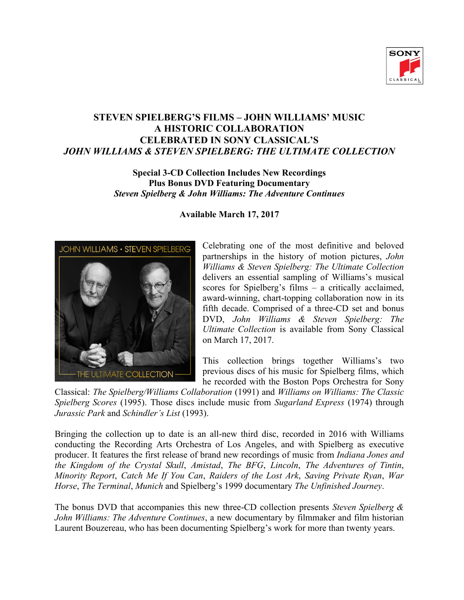

# **STEVEN SPIELBERG'S FILMS – JOHN WILLIAMS' MUSIC A HISTORIC COLLABORATION CELEBRATED IN SONY CLASSICAL'S** *JOHN WILLIAMS & STEVEN SPIELBERG: THE ULTIMATE COLLECTION*

#### **Special 3-CD Collection Includes New Recordings Plus Bonus DVD Featuring Documentary** *Steven Spielberg & John Williams: The Adventure Continues*

# JOHN WILLIAMS . STEVEN SPIELBERG **ULTIMATE COLLECTION**

## **Available March 17, 2017**

Celebrating one of the most definitive and beloved partnerships in the history of motion pictures, *John Williams & Steven Spielberg: The Ultimate Collection* delivers an essential sampling of Williams's musical scores for Spielberg's films – a critically acclaimed, award-winning, chart-topping collaboration now in its fifth decade. Comprised of a three-CD set and bonus DVD, *John Williams & Steven Spielberg: The Ultimate Collection* is available from Sony Classical on March 17, 2017.

This collection brings together Williams's two previous discs of his music for Spielberg films, which he recorded with the Boston Pops Orchestra for Sony

Classical: *The Spielberg/Williams Collaboration* (1991) and *Williams on Williams: The Classic Spielberg Scores* (1995). Those discs include music from *Sugarland Express* (1974) through *Jurassic Park* and *Schindler's List* (1993).

Bringing the collection up to date is an all-new third disc, recorded in 2016 with Williams conducting the Recording Arts Orchestra of Los Angeles, and with Spielberg as executive producer. It features the first release of brand new recordings of music from *Indiana Jones and the Kingdom of the Crystal Skull*, *Amistad*, *The BFG*, *Lincoln*, *The Adventures of Tintin*, *Minority Report*, *Catch Me If You Can*, *Raiders of the Lost Ark*, *Saving Private Ryan*, *War Horse*, *The Terminal*, *Munich* and Spielberg's 1999 documentary *The Unfinished Journey*.

The bonus DVD that accompanies this new three-CD collection presents *Steven Spielberg & John Williams: The Adventure Continues*, a new documentary by filmmaker and film historian Laurent Bouzereau, who has been documenting Spielberg's work for more than twenty years.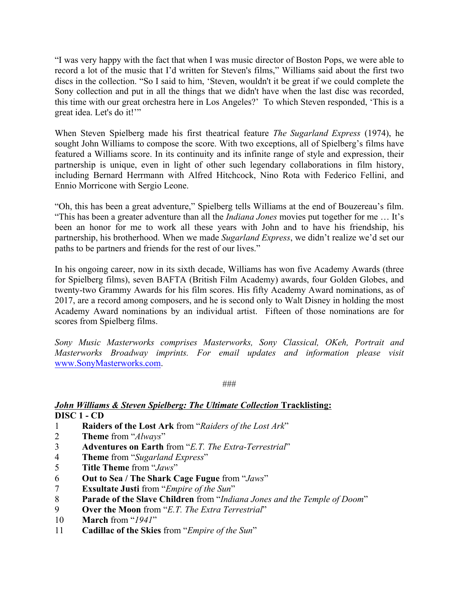"I was very happy with the fact that when I was music director of Boston Pops, we were able to record a lot of the music that I'd written for Steven's films," Williams said about the first two discs in the collection. "So I said to him, 'Steven, wouldn't it be great if we could complete the Sony collection and put in all the things that we didn't have when the last disc was recorded, this time with our great orchestra here in Los Angeles?' To which Steven responded, 'This is a great idea. Let's do it!'"

When Steven Spielberg made his first theatrical feature *The Sugarland Express* (1974), he sought John Williams to compose the score. With two exceptions, all of Spielberg's films have featured a Williams score. In its continuity and its infinite range of style and expression, their partnership is unique, even in light of other such legendary collaborations in film history, including Bernard Herrmann with Alfred Hitchcock, Nino Rota with Federico Fellini, and Ennio Morricone with Sergio Leone.

"Oh, this has been a great adventure," Spielberg tells Williams at the end of Bouzereau's film. "This has been a greater adventure than all the *Indiana Jones* movies put together for me … It's been an honor for me to work all these years with John and to have his friendship, his partnership, his brotherhood. When we made *Sugarland Express*, we didn't realize we'd set our paths to be partners and friends for the rest of our lives."

In his ongoing career, now in its sixth decade, Williams has won five Academy Awards (three for Spielberg films), seven BAFTA (British Film Academy) awards, four Golden Globes, and twenty-two Grammy Awards for his film scores. His fifty Academy Award nominations, as of 2017, are a record among composers, and he is second only to Walt Disney in holding the most Academy Award nominations by an individual artist. Fifteen of those nominations are for scores from Spielberg films.

*Sony Music Masterworks comprises Masterworks, Sony Classical, OKeh, Portrait and Masterworks Broadway imprints. For email updates and information please visit*  www.SonyMasterworks.com.

###

#### *John Williams & Steven Spielberg: The Ultimate Collection Tracklisting:* **DISC 1 - CD**

- 1 **Raiders of the Lost Ark** from "*Raiders of the Lost Ark*"
- 2 **Theme** from "*Always*"
- 3 **Adventures on Earth** from "*E.T. The Extra-Terrestrial*"
- 4 **Theme** from "*Sugarland Express*"
- 5 **Title Theme** from "*Jaws*"
- 6 **Out to Sea / The Shark Cage Fugue** from "*Jaws*"
- 7 **Exsultate Justi** from "*Empire of the Sun*"
- 8 **Parade of the Slave Children** from "*Indiana Jones and the Temple of Doom*"
- 9 **Over the Moon** from "*E.T. The Extra Terrestrial*"
- 10 **March** from "*1941*"
- 11 **Cadillac of the Skies** from "*Empire of the Sun*"